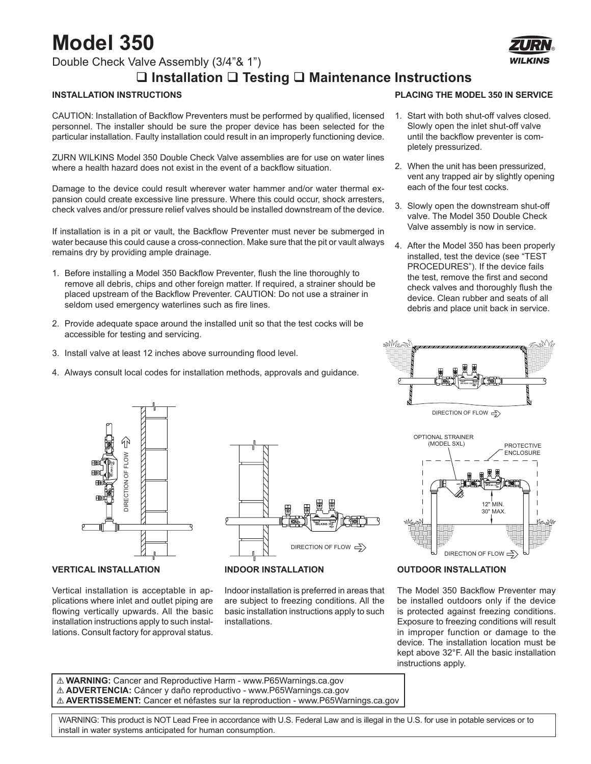## **Model 350**

Double Check Valve Assembly (3/4"& 1")

## **Installation Testing Maintenance Instructions**

#### **INSTALLATION INSTRUCTIONS**

CAUTION: Installation of Backflow Preventers must be performed by qualified, licensed personnel. The installer should be sure the proper device has been selected for the particular installation. Faulty installation could result in an improperly functioning device.

ZURN WILKINS Model 350 Double Check Valve assemblies are for use on water lines where a health hazard does not exist in the event of a backflow situation.

Damage to the device could result wherever water hammer and/or water thermal expansion could create excessive line pressure. Where this could occur, shock arresters, check valves and/or pressure relief valves should be installed downstream of the device.

If installation is in a pit or vault, the Backflow Preventer must never be submerged in water because this could cause a cross-connection. Make sure that the pit or vault always remains dry by providing ample drainage.

- 1. Before installing a Model 350 Backflow Preventer, flush the line thoroughly to remove all debris, chips and other foreign matter. If required, a strainer should be placed upstream of the Backflow Preventer. CAUTION: Do not use a strainer in seldom used emergency waterlines such as fire lines.
- 2. Provide adequate space around the installed unit so that the test cocks will be accessible for testing and servicing.
- 3. Install valve at least 12 inches above surrounding flood level.
- 4. Always consult local codes for installation methods, approvals and guidance.



#### **VERTICAL INSTALLATION**

Vertical installation is acceptable in applications where inlet and outlet piping are flowing vertically upwards. All the basic installation instructions apply to such instal-



#### **INDOOR INSTALLATION**

Indoor installation is preferred in areas that are subject to freezing conditions. All the basic installation instructions apply to such installations.



- 1. Start with both shut-off valves closed. Slowly open the inlet shut-off valve until the backflow preventer is completely pressurized.
- 2. When the unit has been pressurized, vent any trapped air by slightly opening each of the four test cocks.
- 3. Slowly open the downstream shut-off valve. The Model 350 Double Check Valve assembly is now in service.
- 4. After the Model 350 has been properly installed, test the device (see "TEST PROCEDURES"). If the device fails the test, remove the first and second check valves and thoroughly flush the device. Clean rubber and seats of all debris and place unit back in service.





#### **OUTDOOR INSTALLATION**

The Model 350 Backflow Preventer may be installed outdoors only if the device is protected against freezing conditions. Exposure to freezing conditions will result in improper function or damage to the device. The installation location must be kept above 32°F. All the basic installation instructions apply.

! **WARNING:** Cancer and Reproductive Harm - www.P65Warnings.ca.gov ! **ADVERTENCIA:** Cáncer y daño reproductivo - www.P65Warnings.ca.gov ! **AVERTISSEMENT:** Cancer et néfastes sur la reproduction - www.P65Warnings.ca.gov

 WARNING: This product is NOT Lead Free in accordance with U.S. Federal Law and is illegal in the U.S. for use in potable services or to install in water systems anticipated for human consumption.

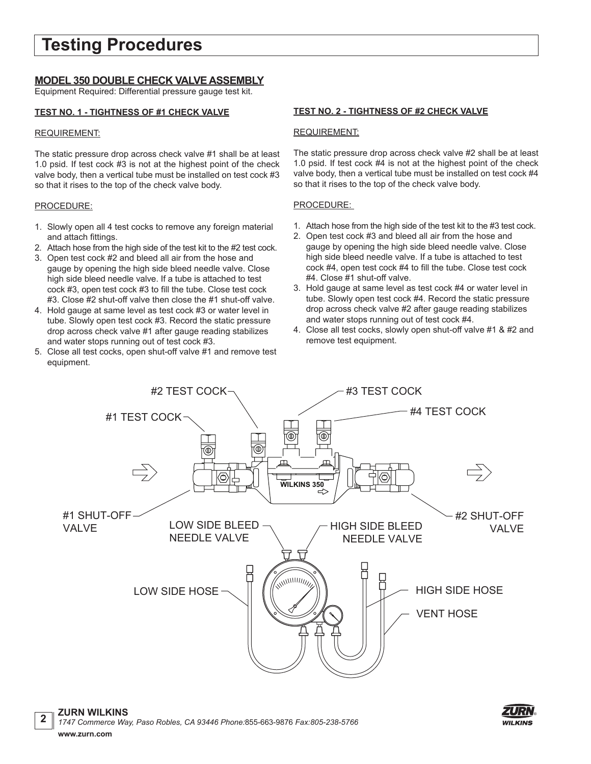## **Testing Procedures**

#### **MODEL 350 DOUBLE CHECK VALVE ASSEMBLY**

Equipment Required: Differential pressure gauge test kit.

#### **TEST NO. 1 - TIGHTNESS OF #1 CHECK VALVE**

#### REQUIREMENT:

The static pressure drop across check valve #1 shall be at least 1.0 psid. If test cock #3 is not at the highest point of the check valve body, then a vertical tube must be installed on test cock #3 so that it rises to the top of the check valve body.

#### PROCEDURE:

**2**

- 1. Slowly open all 4 test cocks to remove any foreign material and attach fittings.
- 2. Attach hose from the high side of the test kit to the #2 test cock.
- 3. Open test cock #2 and bleed all air from the hose and gauge by opening the high side bleed needle valve. Close high side bleed needle valve. If a tube is attached to test cock #3, open test cock #3 to fill the tube. Close test cock #3. Close #2 shut-off valve then close the #1 shut-off valve.
- 4. Hold gauge at same level as test cock #3 or water level in tube. Slowly open test cock #3. Record the static pressure drop across check valve #1 after gauge reading stabilizes and water stops running out of test cock #3.
- 5. Close all test cocks, open shut-off valve #1 and remove test equipment.

#### **TEST NO. 2 - TIGHTNESS OF #2 CHECK VALVE**

#### REQUIREMENT:

The static pressure drop across check valve #2 shall be at least 1.0 psid. If test cock #4 is not at the highest point of the check valve body, then a vertical tube must be installed on test cock #4 so that it rises to the top of the check valve body.

#### PROCEDURE:

- 1. Attach hose from the high side of the test kit to the #3 test cock.
- 2. Open test cock #3 and bleed all air from the hose and gauge by opening the high side bleed needle valve. Close high side bleed needle valve. If a tube is attached to test cock #4, open test cock #4 to fill the tube. Close test cock #4. Close #1 shut-off valve.
- 3. Hold gauge at same level as test cock #4 or water level in tube. Slowly open test cock #4. Record the static pressure drop across check valve #2 after gauge reading stabilizes and water stops running out of test cock #4.
- 4. Close all test cocks, slowly open shut-off valve #1 & #2 and remove test equipment.



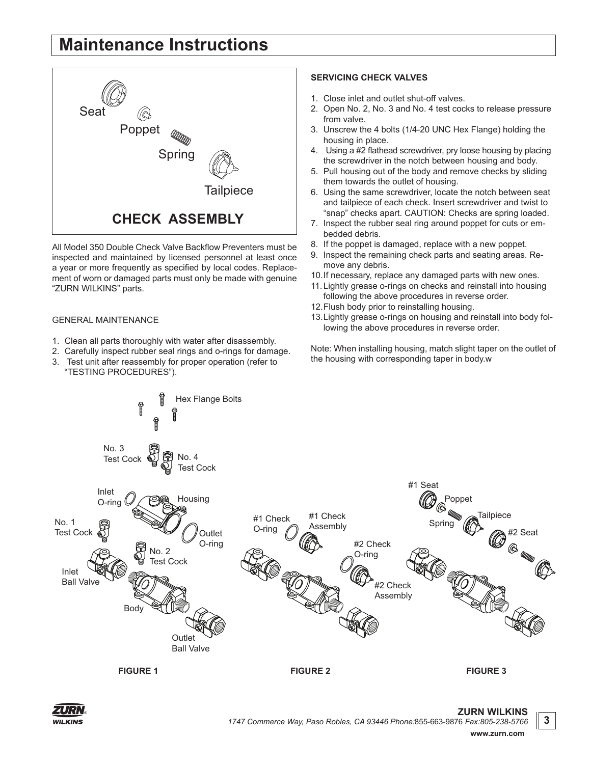## **Maintenance Instructions**



All Model 350 Double Check Valve Backflow Preventers must be inspected and maintained by licensed personnel at least once a year or more frequently as specified by local codes. Replacement of worn or damaged parts must only be made with genuine "ZURN WILKINS" parts.

#### GENERAL MAINTENANCE

- 1. Clean all parts thoroughly with water after disassembly.
- 2. Carefully inspect rubber seal rings and o-rings for damage.
- 3. Test unit after reassembly for proper operation (refer to "TESTING PROCEDURES").

#### **SERVICING CHECK VALVES**

- 1. Close inlet and outlet shut-off valves.
- 2. Open No. 2, No. 3 and No. 4 test cocks to release pressure from valve.
- 3. Unscrew the 4 bolts (1/4-20 UNC Hex Flange) holding the housing in place.
- 4. Using a #2 flathead screwdriver, pry loose housing by placing the screwdriver in the notch between housing and body.
- 5. Pull housing out of the body and remove checks by sliding them towards the outlet of housing.
- 6. Using the same screwdriver, locate the notch between seat and tailpiece of each check. Insert screwdriver and twist to "snap" checks apart. CAUTION: Checks are spring loaded.
- 7. Inspect the rubber seal ring around poppet for cuts or embedded debris.
- 8. If the poppet is damaged, replace with a new poppet.
- 9. Inspect the remaining check parts and seating areas. Remove any debris.
- 10.If necessary, replace any damaged parts with new ones.
- 11.Lightly grease o-rings on checks and reinstall into housing following the above procedures in reverse order.
- 12.Flush body prior to reinstalling housing.
- 13.Lightly grease o-rings on housing and reinstall into body following the above procedures in reverse order.

Note: When installing housing, match slight taper on the outlet of the housing with corresponding taper in body.w